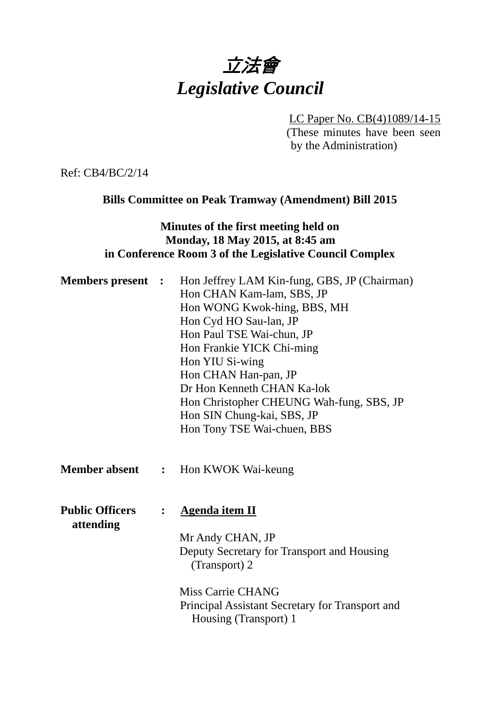# 立法會 *Legislative Council*

LC Paper No. CB(4)1089/14-15 (These minutes have been seen by the Administration)

Ref: CB4/BC/2/14

# **Bills Committee on Peak Tramway (Amendment) Bill 2015**

# **Minutes of the first meeting held on Monday, 18 May 2015, at 8:45 am in Conference Room 3 of the Legislative Council Complex**

| <b>Members present :</b>            |                | Hon Jeffrey LAM Kin-fung, GBS, JP (Chairman)<br>Hon CHAN Kam-lam, SBS, JP<br>Hon WONG Kwok-hing, BBS, MH<br>Hon Cyd HO Sau-lan, JP<br>Hon Paul TSE Wai-chun, JP<br>Hon Frankie YICK Chi-ming<br>Hon YIU Si-wing<br>Hon CHAN Han-pan, JP<br>Dr Hon Kenneth CHAN Ka-lok<br>Hon Christopher CHEUNG Wah-fung, SBS, JP<br>Hon SIN Chung-kai, SBS, JP<br>Hon Tony TSE Wai-chuen, BBS |  |
|-------------------------------------|----------------|--------------------------------------------------------------------------------------------------------------------------------------------------------------------------------------------------------------------------------------------------------------------------------------------------------------------------------------------------------------------------------|--|
| <b>Member absent :</b>              |                | Hon KWOK Wai-keung                                                                                                                                                                                                                                                                                                                                                             |  |
| <b>Public Officers</b><br>attending | $\ddot{\cdot}$ | <b>Agenda item II</b><br>Mr Andy CHAN, JP<br>Deputy Secretary for Transport and Housing<br>(Transport) 2<br>Miss Carrie CHANG<br>Principal Assistant Secretary for Transport and<br>Housing (Transport) 1                                                                                                                                                                      |  |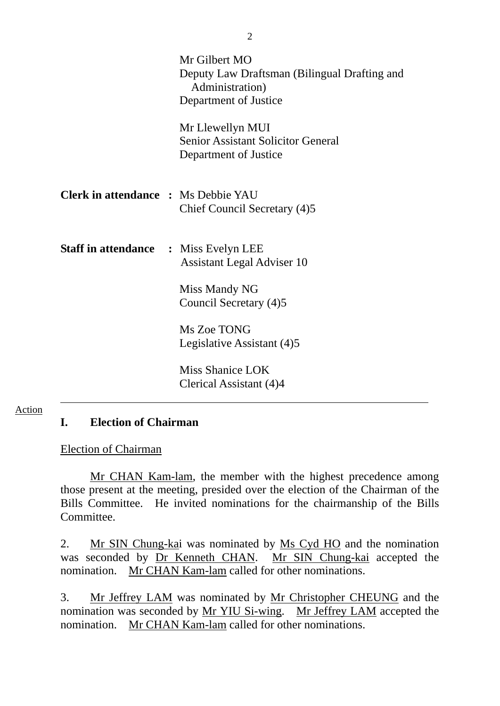|                                              | Mr Gilbert MO<br>Deputy Law Draftsman (Bilingual Drafting and<br>Administration)<br>Department of Justice |
|----------------------------------------------|-----------------------------------------------------------------------------------------------------------|
|                                              | Mr Llewellyn MUI<br><b>Senior Assistant Solicitor General</b><br>Department of Justice                    |
| <b>Clerk in attendance : Ms Debbie YAU</b>   | Chief Council Secretary (4)5                                                                              |
| <b>Staff in attendance : Miss Evelyn LEE</b> | <b>Assistant Legal Adviser 10</b>                                                                         |
|                                              | Miss Mandy NG<br>Council Secretary (4)5                                                                   |
|                                              | Ms Zoe TONG<br>Legislative Assistant (4)5                                                                 |
|                                              | Miss Shanice LOK<br>Clerical Assistant (4)4                                                               |

#### Action

#### **I. Election of Chairman**

#### Election of Chairman

 Mr CHAN Kam-lam, the member with the highest precedence among those present at the meeting, presided over the election of the Chairman of the Bills Committee. He invited nominations for the chairmanship of the Bills Committee.

2. Mr SIN Chung-kai was nominated by Ms Cyd HO and the nomination was seconded by Dr Kenneth CHAN. Mr SIN Chung-kai accepted the nomination. Mr CHAN Kam-lam called for other nominations.

3. Mr Jeffrey LAM was nominated by Mr Christopher CHEUNG and the nomination was seconded by Mr YIU Si-wing. Mr Jeffrey LAM accepted the nomination. Mr CHAN Kam-lam called for other nominations.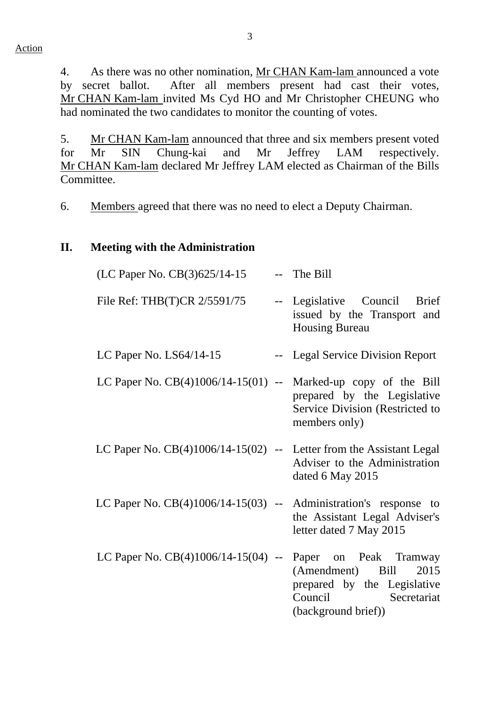4. As there was no other nomination, Mr CHAN Kam-lam announced a vote by secret ballot. After all members present had cast their votes, Mr CHAN Kam-lam invited Ms Cyd HO and Mr Christopher CHEUNG who had nominated the two candidates to monitor the counting of votes.

5. Mr CHAN Kam-lam announced that three and six members present voted for Mr SIN Chung-kai and Mr Jeffrey LAM respectively. Mr CHAN Kam-lam declared Mr Jeffrey LAM elected as Chairman of the Bills Committee.

6. Members agreed that there was no need to elect a Deputy Chairman.

## **II. Meeting with the Administration**

| (LC Paper No. CB(3)625/14-15                                          | -- The Bill                                                                                                                       |
|-----------------------------------------------------------------------|-----------------------------------------------------------------------------------------------------------------------------------|
| File Ref: THB(T)CR 2/5591/75                                          | -- Legislative Council Brief<br>issued by the Transport and<br><b>Housing Bureau</b>                                              |
| LC Paper No. $LS64/14-15$                                             | -- Legal Service Division Report                                                                                                  |
| LC Paper No. $CB(4)1006/14-15(01)$ --                                 | Marked-up copy of the Bill<br>prepared by the Legislative<br>Service Division (Restricted to<br>members only)                     |
| LC Paper No. $CB(4)1006/14-15(02)$ -- Letter from the Assistant Legal | Adviser to the Administration<br>dated 6 May 2015                                                                                 |
| LC Paper No. $CB(4)1006/14-15(03)$ -- Administration's response to    | the Assistant Legal Adviser's<br>letter dated 7 May 2015                                                                          |
| LC Paper No. $CB(4)1006/14-15(04)$ --                                 | Paper on Peak Tramway<br>(Amendment) Bill<br>2015<br>prepared by the Legislative<br>Council<br>Secretariat<br>(background brief)) |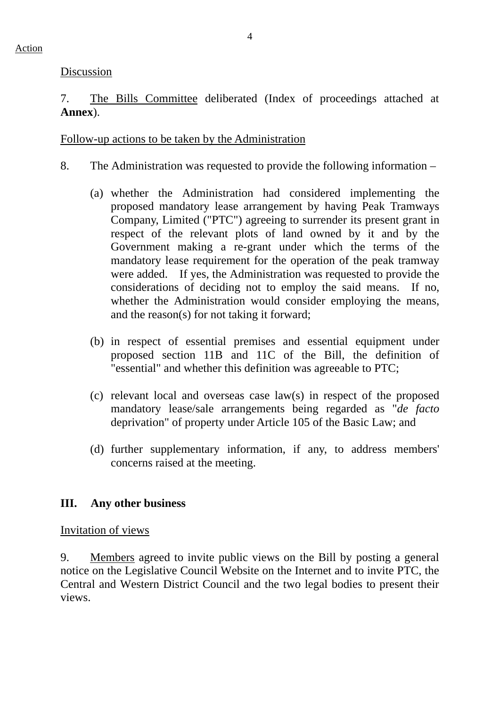# 7. The Bills Committee deliberated (Index of proceedings attached at **Annex**).

## Follow-up actions to be taken by the Administration

- 8. The Administration was requested to provide the following information
	- (a) whether the Administration had considered implementing the proposed mandatory lease arrangement by having Peak Tramways Company, Limited ("PTC") agreeing to surrender its present grant in respect of the relevant plots of land owned by it and by the Government making a re-grant under which the terms of the mandatory lease requirement for the operation of the peak tramway were added. If yes, the Administration was requested to provide the considerations of deciding not to employ the said means. If no, whether the Administration would consider employing the means, and the reason(s) for not taking it forward;
	- (b) in respect of essential premises and essential equipment under proposed section 11B and 11C of the Bill, the definition of "essential" and whether this definition was agreeable to PTC;
	- (c) relevant local and overseas case law(s) in respect of the proposed mandatory lease/sale arrangements being regarded as "*de facto*  deprivation" of property under Article 105 of the Basic Law; and
	- (d) further supplementary information, if any, to address members' concerns raised at the meeting.

# **III. Any other business**

## Invitation of views

9. Members agreed to invite public views on the Bill by posting a general notice on the Legislative Council Website on the Internet and to invite PTC, the Central and Western District Council and the two legal bodies to present their views.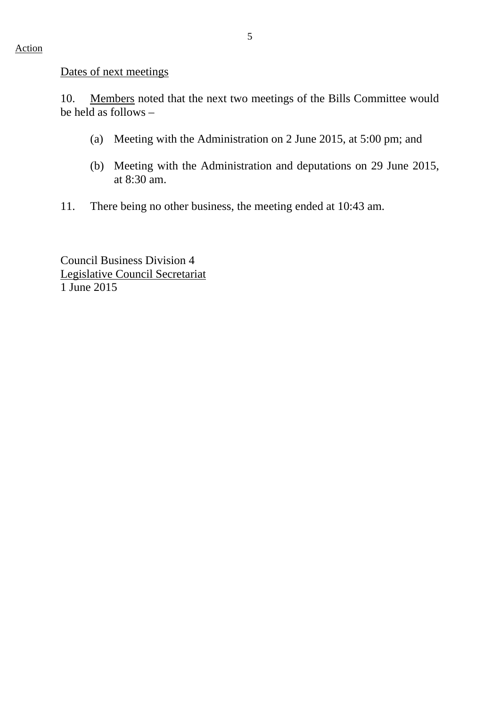Dates of next meetings

10. Members noted that the next two meetings of the Bills Committee would be held as follows  $-$ 

- (a) Meeting with the Administration on 2 June 2015, at 5:00 pm; and
- (b) Meeting with the Administration and deputations on 29 June 2015, at 8:30 am.
- 11. There being no other business, the meeting ended at 10:43 am.

Council Business Division 4 Legislative Council Secretariat 1 June 2015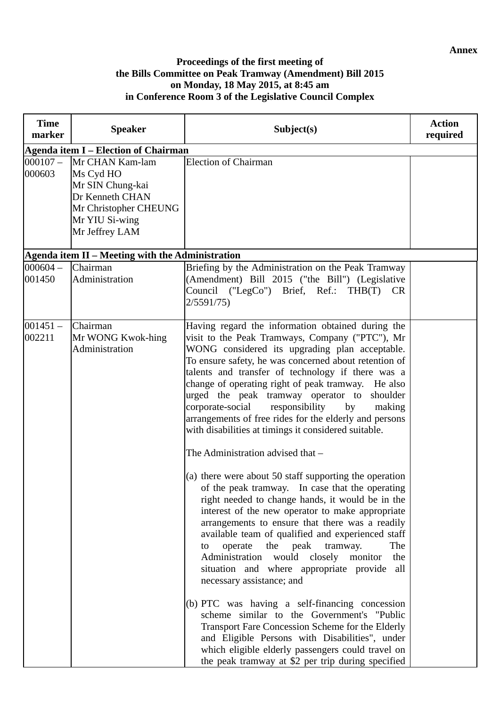#### **Proceedings of the first meeting of the Bills Committee on Peak Tramway (Amendment) Bill 2015 on Monday, 18 May 2015, at 8:45 am in Conference Room 3 of the Legislative Council Complex**

| <b>Time</b><br>marker | <b>Speaker</b>                                                                                                                   | Subject(s)                                                                                                                                                                                                                                                                                                                                                                                                                                                                                                                                                                                                                                                                                                                                                                                                                                                                                                                                                                                                                                                                                                                                                                                                                                                                                                                                                                                                     | <b>Action</b><br>required |  |
|-----------------------|----------------------------------------------------------------------------------------------------------------------------------|----------------------------------------------------------------------------------------------------------------------------------------------------------------------------------------------------------------------------------------------------------------------------------------------------------------------------------------------------------------------------------------------------------------------------------------------------------------------------------------------------------------------------------------------------------------------------------------------------------------------------------------------------------------------------------------------------------------------------------------------------------------------------------------------------------------------------------------------------------------------------------------------------------------------------------------------------------------------------------------------------------------------------------------------------------------------------------------------------------------------------------------------------------------------------------------------------------------------------------------------------------------------------------------------------------------------------------------------------------------------------------------------------------------|---------------------------|--|
|                       | <b>Agenda item I - Election of Chairman</b>                                                                                      |                                                                                                                                                                                                                                                                                                                                                                                                                                                                                                                                                                                                                                                                                                                                                                                                                                                                                                                                                                                                                                                                                                                                                                                                                                                                                                                                                                                                                |                           |  |
| $000107 -$<br>000603  | Mr CHAN Kam-lam<br>Ms Cyd HO<br>Mr SIN Chung-kai<br>Dr Kenneth CHAN<br>Mr Christopher CHEUNG<br>Mr YIU Si-wing<br>Mr Jeffrey LAM | <b>Election of Chairman</b>                                                                                                                                                                                                                                                                                                                                                                                                                                                                                                                                                                                                                                                                                                                                                                                                                                                                                                                                                                                                                                                                                                                                                                                                                                                                                                                                                                                    |                           |  |
|                       | Agenda item II - Meeting with the Administration                                                                                 |                                                                                                                                                                                                                                                                                                                                                                                                                                                                                                                                                                                                                                                                                                                                                                                                                                                                                                                                                                                                                                                                                                                                                                                                                                                                                                                                                                                                                |                           |  |
| $000604 -$<br>001450  | Chairman<br>Administration                                                                                                       | Briefing by the Administration on the Peak Tramway<br>(Amendment) Bill 2015 ("the Bill") (Legislative<br>Council ("LegCo") Brief, Ref.: THB(T)<br><b>CR</b><br>2/5591/75                                                                                                                                                                                                                                                                                                                                                                                                                                                                                                                                                                                                                                                                                                                                                                                                                                                                                                                                                                                                                                                                                                                                                                                                                                       |                           |  |
| $001451 -$<br>002211  | Chairman<br>Mr WONG Kwok-hing<br>Administration                                                                                  | Having regard the information obtained during the<br>visit to the Peak Tramways, Company ("PTC"), Mr<br>WONG considered its upgrading plan acceptable.<br>To ensure safety, he was concerned about retention of<br>talents and transfer of technology if there was a<br>change of operating right of peak tramway. He also<br>urged the peak tramway operator to<br>shoulder<br>corporate-social<br>responsibility<br>by<br>making<br>arrangements of free rides for the elderly and persons<br>with disabilities at timings it considered suitable.<br>The Administration advised that -<br>(a) there were about 50 staff supporting the operation<br>of the peak tramway. In case that the operating<br>right needed to change hands, it would be in the<br>interest of the new operator to make appropriate<br>arrangements to ensure that there was a readily<br>available team of qualified and experienced staff<br>operate the peak tramway.<br>The<br>to<br>Administration would closely monitor<br>the<br>situation and where appropriate provide<br>all<br>necessary assistance; and<br>(b) PTC was having a self-financing concession<br>scheme similar to the Government's "Public<br>Transport Fare Concession Scheme for the Elderly<br>and Eligible Persons with Disabilities", under<br>which eligible elderly passengers could travel on<br>the peak tramway at \$2 per trip during specified |                           |  |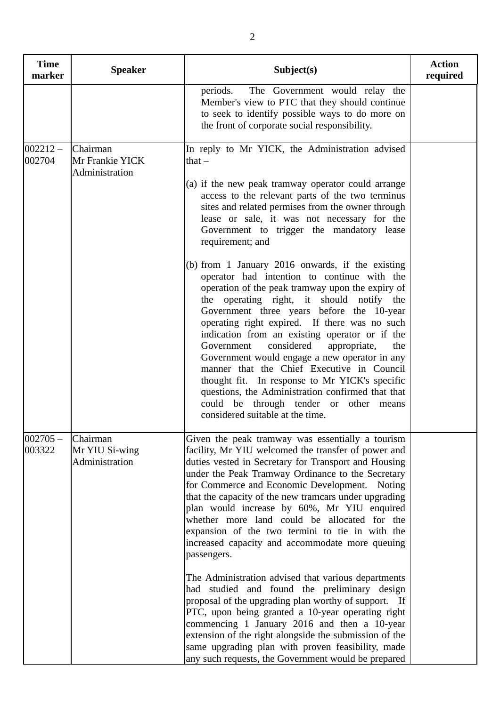| <b>Time</b><br>marker | <b>Speaker</b>                                | Subject(s)                                                                                                                                                                                                                                                                                                                                                                                                                                                                                                                                                                                                                                                                                                                                                                                                                                                                                                                                                                                                                            | <b>Action</b><br>required |
|-----------------------|-----------------------------------------------|---------------------------------------------------------------------------------------------------------------------------------------------------------------------------------------------------------------------------------------------------------------------------------------------------------------------------------------------------------------------------------------------------------------------------------------------------------------------------------------------------------------------------------------------------------------------------------------------------------------------------------------------------------------------------------------------------------------------------------------------------------------------------------------------------------------------------------------------------------------------------------------------------------------------------------------------------------------------------------------------------------------------------------------|---------------------------|
|                       |                                               | The Government would relay the<br>periods.<br>Member's view to PTC that they should continue<br>to seek to identify possible ways to do more on<br>the front of corporate social responsibility.                                                                                                                                                                                                                                                                                                                                                                                                                                                                                                                                                                                                                                                                                                                                                                                                                                      |                           |
| $002212 -$<br>002704  | Chairman<br>Mr Frankie YICK<br>Administration | In reply to Mr YICK, the Administration advised<br>that $-$<br>(a) if the new peak tramway operator could arrange<br>access to the relevant parts of the two terminus<br>sites and related permises from the owner through<br>lease or sale, it was not necessary for the<br>Government to trigger the mandatory lease<br>requirement; and<br>(b) from 1 January 2016 onwards, if the existing<br>operator had intention to continue with the<br>operation of the peak tramway upon the expiry of<br>the operating right, it should notify the<br>Government three years before the 10-year<br>operating right expired. If there was no such<br>indication from an existing operator or if the<br>considered<br>appropriate,<br>the<br>Government<br>Government would engage a new operator in any<br>manner that the Chief Executive in Council<br>thought fit. In response to Mr YICK's specific<br>questions, the Administration confirmed that that<br>could be through tender or other means<br>considered suitable at the time. |                           |
| $002705 -$<br>003322  | Chairman<br>Mr YIU Si-wing<br>Administration  | Given the peak tramway was essentially a tourism<br>facility, Mr YIU welcomed the transfer of power and<br>duties vested in Secretary for Transport and Housing<br>under the Peak Tramway Ordinance to the Secretary<br>for Commerce and Economic Development. Noting<br>that the capacity of the new tramcars under upgrading<br>plan would increase by 60%, Mr YIU enquired<br>whether more land could be allocated for the<br>expansion of the two termini to tie in with the<br>increased capacity and accommodate more queuing<br>passengers.<br>The Administration advised that various departments<br>had studied and found the preliminary design<br>proposal of the upgrading plan worthy of support. If<br>PTC, upon being granted a 10-year operating right<br>commencing 1 January 2016 and then a 10-year<br>extension of the right alongside the submission of the<br>same upgrading plan with proven feasibility, made<br>any such requests, the Government would be prepared                                          |                           |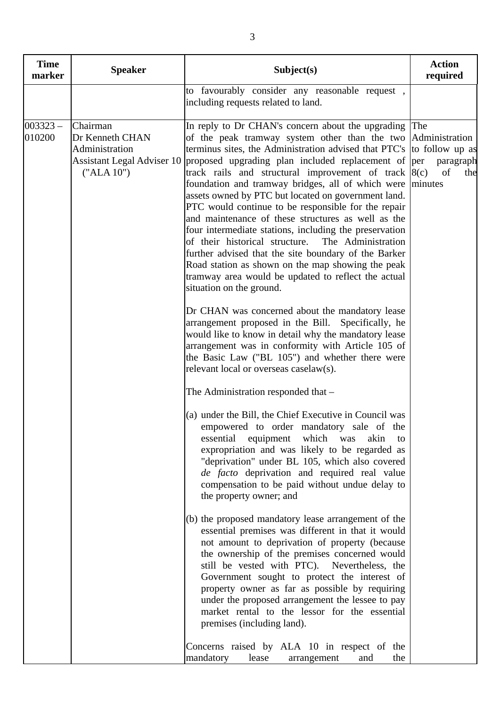| <b>Time</b><br>marker | <b>Speaker</b>                                              | Subject(s)                                                                                                                                                                                                                                                                                                                                                                                                                                                                                                                                                                                                                                                                                                                                                                                                                                                                                                                                                                                                                                                                                                                                                                                                                                                                                                                                                                                                                                                                                                                                                                                                                                                                                                                                                                                                                                                                                                                                                                                                                                                                                                                                      | <b>Action</b><br>required         |
|-----------------------|-------------------------------------------------------------|-------------------------------------------------------------------------------------------------------------------------------------------------------------------------------------------------------------------------------------------------------------------------------------------------------------------------------------------------------------------------------------------------------------------------------------------------------------------------------------------------------------------------------------------------------------------------------------------------------------------------------------------------------------------------------------------------------------------------------------------------------------------------------------------------------------------------------------------------------------------------------------------------------------------------------------------------------------------------------------------------------------------------------------------------------------------------------------------------------------------------------------------------------------------------------------------------------------------------------------------------------------------------------------------------------------------------------------------------------------------------------------------------------------------------------------------------------------------------------------------------------------------------------------------------------------------------------------------------------------------------------------------------------------------------------------------------------------------------------------------------------------------------------------------------------------------------------------------------------------------------------------------------------------------------------------------------------------------------------------------------------------------------------------------------------------------------------------------------------------------------------------------------|-----------------------------------|
|                       |                                                             | to favourably consider any reasonable request,<br>including requests related to land.                                                                                                                                                                                                                                                                                                                                                                                                                                                                                                                                                                                                                                                                                                                                                                                                                                                                                                                                                                                                                                                                                                                                                                                                                                                                                                                                                                                                                                                                                                                                                                                                                                                                                                                                                                                                                                                                                                                                                                                                                                                           |                                   |
| $003323 -$<br>010200  | Chairman<br>Dr Kenneth CHAN<br>Administration<br>("ALA 10") | In reply to Dr CHAN's concern about the upgrading The<br>of the peak tramway system other than the two Administration<br>terminus sites, the Administration advised that PTC's  to follow up as<br>Assistant Legal Adviser 10 proposed upgrading plan included replacement of per<br>track rails and structural improvement of track $ 8(c) $<br>foundation and tramway bridges, all of which were<br>assets owned by PTC but located on government land.<br>PTC would continue to be responsible for the repair<br>and maintenance of these structures as well as the<br>four intermediate stations, including the preservation<br>of their historical structure.<br>The Administration<br>further advised that the site boundary of the Barker<br>Road station as shown on the map showing the peak<br>tramway area would be updated to reflect the actual<br>situation on the ground.<br>Dr CHAN was concerned about the mandatory lease<br>arrangement proposed in the Bill. Specifically, he<br>would like to know in detail why the mandatory lease<br>arrangement was in conformity with Article 105 of<br>the Basic Law ("BL 105") and whether there were<br>relevant local or overseas caselaw(s).<br>The Administration responded that –<br>(a) under the Bill, the Chief Executive in Council was<br>empowered to order mandatory sale of the<br>essential equipment which<br>was<br>akin<br>to<br>expropriation and was likely to be regarded as<br>"deprivation" under BL 105, which also covered<br>de facto deprivation and required real value<br>compensation to be paid without undue delay to<br>the property owner; and<br>(b) the proposed mandatory lease arrangement of the<br>essential premises was different in that it would<br>not amount to deprivation of property (because<br>the ownership of the premises concerned would<br>still be vested with PTC). Nevertheless, the<br>Government sought to protect the interest of<br>property owner as far as possible by requiring<br>under the proposed arrangement the lessee to pay<br>market rental to the lessor for the essential<br>premises (including land). | paragraph<br>of<br>the<br>minutes |
|                       |                                                             | Concerns raised by ALA 10 in respect of the<br>mandatory<br>lease<br>the<br>arrangement<br>and                                                                                                                                                                                                                                                                                                                                                                                                                                                                                                                                                                                                                                                                                                                                                                                                                                                                                                                                                                                                                                                                                                                                                                                                                                                                                                                                                                                                                                                                                                                                                                                                                                                                                                                                                                                                                                                                                                                                                                                                                                                  |                                   |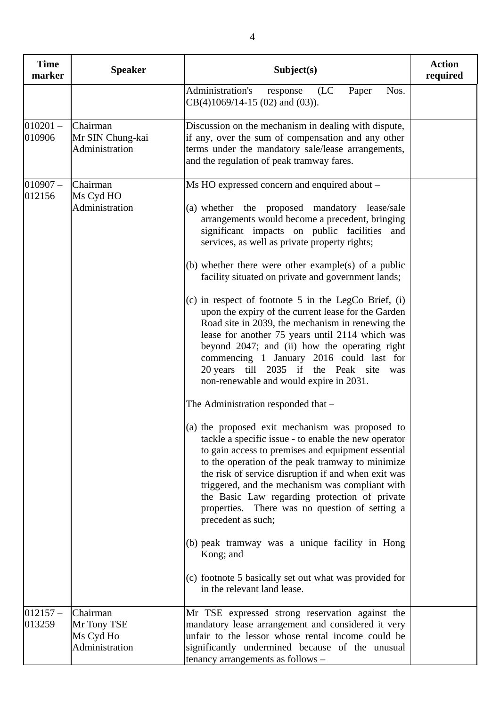| <b>Time</b><br>marker | <b>Speaker</b>                                         | Subject(s)                                                                                                                                                                                                                                                                                                                                                                                                                                                                                                                                                                                                                                                                                                                                                                                                                                                                                                                                                                                                                                                                                                                                                                                                                                                                                                                                                                                              | <b>Action</b><br>required |
|-----------------------|--------------------------------------------------------|---------------------------------------------------------------------------------------------------------------------------------------------------------------------------------------------------------------------------------------------------------------------------------------------------------------------------------------------------------------------------------------------------------------------------------------------------------------------------------------------------------------------------------------------------------------------------------------------------------------------------------------------------------------------------------------------------------------------------------------------------------------------------------------------------------------------------------------------------------------------------------------------------------------------------------------------------------------------------------------------------------------------------------------------------------------------------------------------------------------------------------------------------------------------------------------------------------------------------------------------------------------------------------------------------------------------------------------------------------------------------------------------------------|---------------------------|
|                       |                                                        | Administration's<br>Nos.<br>(LC)<br>Paper<br>response<br>$CB(4)1069/14-15(02)$ and $(03)$ ).                                                                                                                                                                                                                                                                                                                                                                                                                                                                                                                                                                                                                                                                                                                                                                                                                                                                                                                                                                                                                                                                                                                                                                                                                                                                                                            |                           |
| $010201 -$<br>010906  | Chairman<br>Mr SIN Chung-kai<br>Administration         | Discussion on the mechanism in dealing with dispute,<br>if any, over the sum of compensation and any other<br>terms under the mandatory sale/lease arrangements,<br>and the regulation of peak tramway fares.                                                                                                                                                                                                                                                                                                                                                                                                                                                                                                                                                                                                                                                                                                                                                                                                                                                                                                                                                                                                                                                                                                                                                                                           |                           |
| $ 010907 -$<br>012156 | Chairman<br>Ms Cyd HO<br>Administration                | Ms HO expressed concern and enquired about –<br>(a) whether the proposed mandatory lease/sale<br>arrangements would become a precedent, bringing<br>significant impacts on public facilities<br>and<br>services, as well as private property rights;<br>(b) whether there were other example(s) of a public<br>facility situated on private and government lands;<br>(c) in respect of footnote $5$ in the LegCo Brief, (i)<br>upon the expiry of the current lease for the Garden<br>Road site in 2039, the mechanism in renewing the<br>lease for another 75 years until 2114 which was<br>beyond 2047; and (ii) how the operating right<br>commencing 1 January 2016 could last for<br>20 years till 2035 if the Peak site<br>was<br>non-renewable and would expire in 2031.<br>The Administration responded that -<br>(a) the proposed exit mechanism was proposed to<br>tackle a specific issue - to enable the new operator<br>to gain access to premises and equipment essential<br>to the operation of the peak tramway to minimize<br>the risk of service disruption if and when exit was<br>triggered, and the mechanism was compliant with<br>the Basic Law regarding protection of private<br>properties. There was no question of setting a<br>precedent as such;<br>(b) peak tramway was a unique facility in Hong<br>Kong; and<br>(c) footnote 5 basically set out what was provided for |                           |
| $012157 -$<br>013259  | Chairman<br>Mr Tony TSE<br>Ms Cyd Ho<br>Administration | in the relevant land lease.<br>Mr TSE expressed strong reservation against the<br>mandatory lease arrangement and considered it very<br>unfair to the lessor whose rental income could be<br>significantly undermined because of the unusual                                                                                                                                                                                                                                                                                                                                                                                                                                                                                                                                                                                                                                                                                                                                                                                                                                                                                                                                                                                                                                                                                                                                                            |                           |
|                       |                                                        | tenancy arrangements as follows -                                                                                                                                                                                                                                                                                                                                                                                                                                                                                                                                                                                                                                                                                                                                                                                                                                                                                                                                                                                                                                                                                                                                                                                                                                                                                                                                                                       |                           |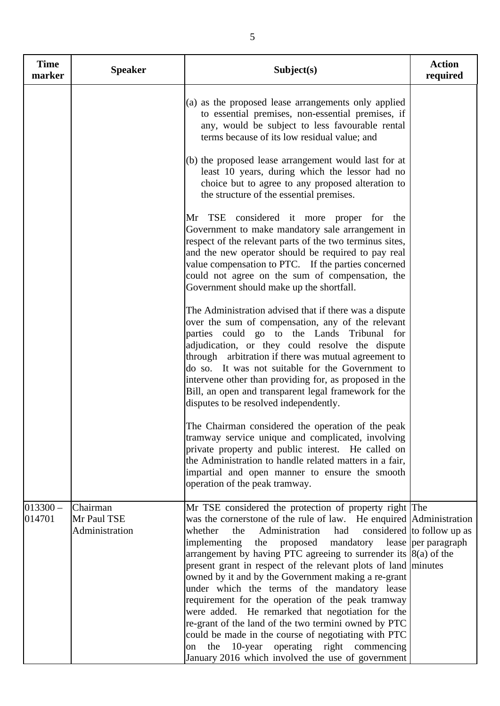| <b>Time</b><br>marker | <b>Speaker</b>                            | Subject(s)                                                                                                                                                                                                                                                                                                                                                                                                                                                                                                                                                                                                                                                                                                                                                                                          | <b>Action</b><br>required                         |
|-----------------------|-------------------------------------------|-----------------------------------------------------------------------------------------------------------------------------------------------------------------------------------------------------------------------------------------------------------------------------------------------------------------------------------------------------------------------------------------------------------------------------------------------------------------------------------------------------------------------------------------------------------------------------------------------------------------------------------------------------------------------------------------------------------------------------------------------------------------------------------------------------|---------------------------------------------------|
|                       |                                           | (a) as the proposed lease arrangements only applied<br>to essential premises, non-essential premises, if<br>any, would be subject to less favourable rental<br>terms because of its low residual value; and                                                                                                                                                                                                                                                                                                                                                                                                                                                                                                                                                                                         |                                                   |
|                       |                                           | (b) the proposed lease arrangement would last for at<br>least 10 years, during which the lessor had no<br>choice but to agree to any proposed alteration to<br>the structure of the essential premises.                                                                                                                                                                                                                                                                                                                                                                                                                                                                                                                                                                                             |                                                   |
|                       |                                           | Mr TSE considered it more proper for the<br>Government to make mandatory sale arrangement in<br>respect of the relevant parts of the two terminus sites,<br>and the new operator should be required to pay real<br>value compensation to PTC. If the parties concerned<br>could not agree on the sum of compensation, the<br>Government should make up the shortfall.                                                                                                                                                                                                                                                                                                                                                                                                                               |                                                   |
|                       |                                           | The Administration advised that if there was a dispute<br>over the sum of compensation, any of the relevant<br>parties could go to the Lands Tribunal for<br>adjudication, or they could resolve the dispute<br>through arbitration if there was mutual agreement to<br>do so. It was not suitable for the Government to<br>intervene other than providing for, as proposed in the<br>Bill, an open and transparent legal framework for the<br>disputes to be resolved independently.                                                                                                                                                                                                                                                                                                               |                                                   |
|                       |                                           | The Chairman considered the operation of the peak<br>tramway service unique and complicated, involving<br>private property and public interest. He called on<br>the Administration to handle related matters in a fair,<br>impartial and open manner to ensure the smooth<br>operation of the peak tramway.                                                                                                                                                                                                                                                                                                                                                                                                                                                                                         |                                                   |
| $013300 -$<br>014701  | Chairman<br>Mr Paul TSE<br>Administration | Mr TSE considered the protection of property right The<br>was the cornerstone of the rule of law. He enquired Administration<br>Administration<br>whether<br>had<br>the<br>implementing<br>the proposed<br>mandatory<br>arrangement by having PTC agreeing to surrender its $ 8(a)$ of the<br>present grant in respect of the relevant plots of land minutes<br>owned by it and by the Government making a re-grant<br>under which the terms of the mandatory lease<br>requirement for the operation of the peak tramway<br>were added. He remarked that negotiation for the<br>re-grant of the land of the two termini owned by PTC<br>could be made in the course of negotiating with PTC<br>10-year operating right commencing<br>the<br>on<br>January 2016 which involved the use of government | considered to follow up as<br>lease per paragraph |